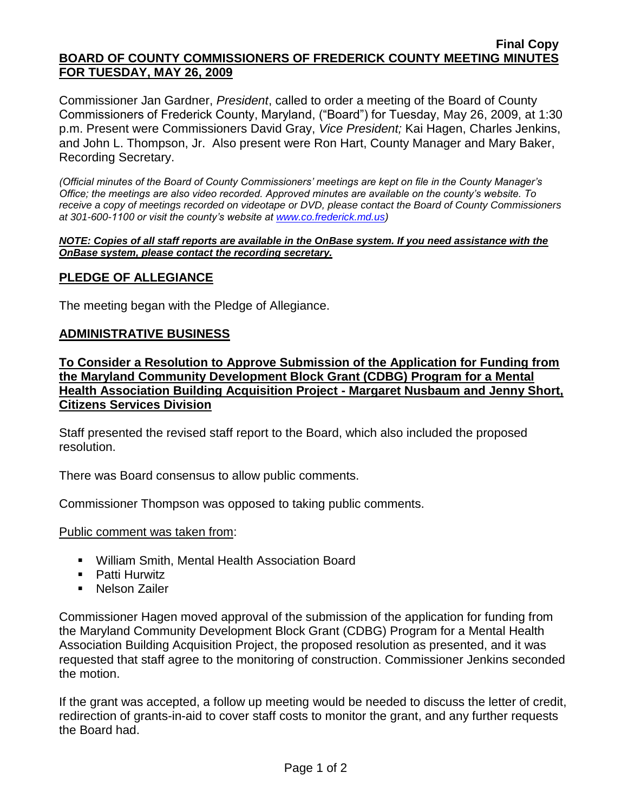#### **Final Copy BOARD OF COUNTY COMMISSIONERS OF FREDERICK COUNTY MEETING MINUTES FOR TUESDAY, MAY 26, 2009**

Commissioner Jan Gardner, *President*, called to order a meeting of the Board of County Commissioners of Frederick County, Maryland, ("Board") for Tuesday, May 26, 2009, at 1:30 p.m. Present were Commissioners David Gray, *Vice President;* Kai Hagen, Charles Jenkins, and John L. Thompson, Jr. Also present were Ron Hart, County Manager and Mary Baker, Recording Secretary.

*(Official minutes of the Board of County Commissioners' meetings are kept on file in the County Manager's Office; the meetings are also video recorded. Approved minutes are available on the county's website. To receive a copy of meetings recorded on videotape or DVD, please contact the Board of County Commissioners at 301-600-1100 or visit the county's website at [www.co.frederick.md.us\)](http://www.co.frederick.md.us/)*

#### *NOTE: Copies of all staff reports are available in the OnBase system. If you need assistance with the OnBase system, please contact the recording secretary.*

### **PLEDGE OF ALLEGIANCE**

The meeting began with the Pledge of Allegiance.

### **ADMINISTRATIVE BUSINESS**

**To Consider a Resolution to Approve Submission of the Application for Funding from the Maryland Community Development Block Grant (CDBG) Program for a Mental Health Association Building Acquisition Project - Margaret Nusbaum and Jenny Short, Citizens Services Division** 

Staff presented the revised staff report to the Board, which also included the proposed resolution.

There was Board consensus to allow public comments.

Commissioner Thompson was opposed to taking public comments.

### Public comment was taken from:

- William Smith, Mental Health Association Board
- **Patti Hurwitz**
- **Nelson Zailer**

Commissioner Hagen moved approval of the submission of the application for funding from the Maryland Community Development Block Grant (CDBG) Program for a Mental Health Association Building Acquisition Project, the proposed resolution as presented, and it was requested that staff agree to the monitoring of construction. Commissioner Jenkins seconded the motion.

If the grant was accepted, a follow up meeting would be needed to discuss the letter of credit, redirection of grants-in-aid to cover staff costs to monitor the grant, and any further requests the Board had.